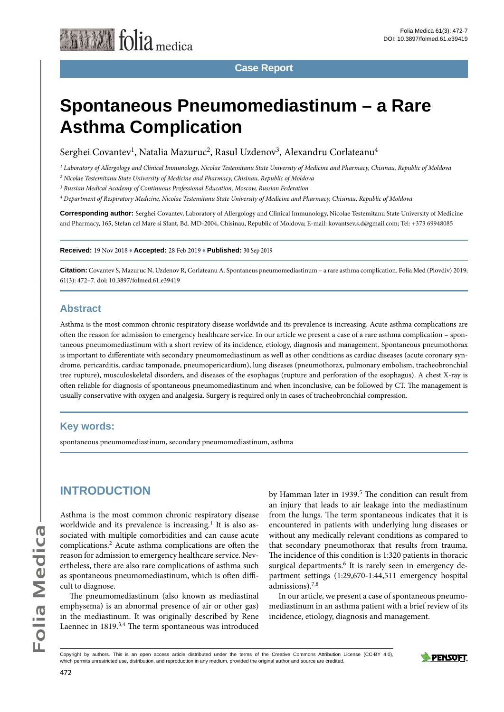

**Case Report**

# **Spontaneous Pneumomediastinum – a Rare Asthma Complication**

Serghei Covantev<sup>1</sup>, Natalia Mazuruc<sup>2</sup>, Rasul Uzdenov<sup>3</sup>, Alexandru Corlateanu<sup>4</sup>

*1 Laboratory of Allergology and Clinical Immunology, Nicolae Testemitanu State University of Medicine and Pharmacy, Chisinau, Republic of Moldova*

*2 Nicolae Testemitanu State University of Medicine and Pharmacy, Chisinau, Republic of Moldova*

*3 Russian Medical Academy of Continuous Professional Education, Moscow, Russian Federation*

*4 Department of Respiratory Medicine, Nicolae Testemitanu State University of Medicine and Pharmacy, Chisinau, Republic of Moldova*

**Corresponding author:** Serghei Covantev, Laboratory of Allergology and Clinical Immunology, Nicolae Testemitanu State University of Medicine and Pharmacy, 165, Stefan cel Mare si Sfant, Bd. MD-2004, Chisinau, Republic of Moldova; E-mail: kovantsev.s.d@gmail.com; Tel: +373 69948085

**Received:** 19 Nov 2018 **♦ Accepted:** 28 Feb 2019 **♦ Published:** 30 Sep 2019

**Citation:** Covantev S, Mazuruc N, Uzdenov R, Corlateanu A. Spontaneus pneumomediastinum – a rare asthma complication. Folia Med (Plovdiv) 2019; 61(3): 472–7. doi: 10.3897/folmed.61.e39419

#### **Abstract**

Asthma is the most common chronic respiratory disease worldwide and its prevalence is increasing. Acute asthma complications are often the reason for admission to emergency healthcare service. In our article we present a case of a rare asthma complication – spontaneous pneumomediastinum with a short review of its incidence, etiology, diagnosis and management. Spontaneous pneumothorax is important to differentiate with secondary pneumomediastinum as well as other conditions as cardiac diseases (acute coronary syndrome, pericarditis, cardiac tamponade, pneumopericardium), lung diseases (pneumothorax, pulmonary embolism, tracheobronchial tree rupture), musculoskeletal disorders, and diseases of the esophagus (rupture and perforation of the esophagus). A chest X-ray is often reliable for diagnosis of spontaneous pneumomediastinum and when inconclusive, can be followed by CT. The management is usually conservative with oxygen and analgesia. Surgery is required only in cases of tracheobronchial compression.

#### **Key words:**

spontaneous pneumomediastinum, secondary pneumomediastinum, asthma

### **INTRODUCTION**

Asthma is the most common chronic respiratory disease worldwide and its prevalence is increasing.<sup>1</sup> It is also associated with multiple comorbidities and can cause acute complications.2 Acute asthma complications are often the reason for admission to emergency healthcare service. Nevertheless, there are also rare complications of asthma such as spontaneous pneumomediastinum, which is often difficult to diagnose.

The pneumomediastinum (also known as mediastinal emphysema) is an abnormal presence of air or other gas) in the mediastinum. It was originally described by Rene Laennec in 1819.3,4 The term spontaneous was introduced by Hamman later in 1939.<sup>5</sup> The condition can result from an injury that leads to air leakage into the mediastinum from the lungs. The term spontaneous indicates that it is encountered in patients with underlying lung diseases or without any medically relevant conditions as compared to that secondary pneumothorax that results from trauma. The incidence of this condition is 1:320 patients in thoracic surgical departments.<sup>6</sup> It is rarely seen in emergency department settings (1:29,670-1:44,511 emergency hospital admissions).7,8

In our article, we present a case of spontaneous pneumomediastinum in an asthma patient with a brief review of its incidence, etiology, diagnosis and management.

Copyright by authors*.* This is an open access article distributed under the terms of the Creative Commons Attribution License (CC-BY 4.0), which permits unrestricted use, distribution, and reproduction in any medium, provided the original author and source are credited.

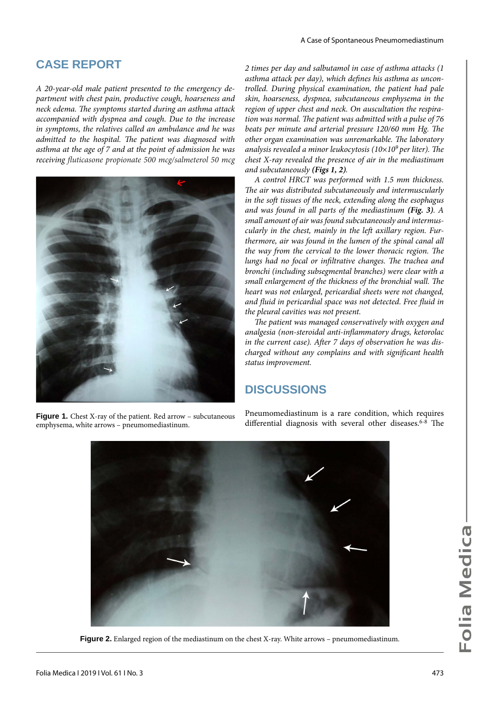### **CASE REPORT**

*A 20-year-old male patient presented to the emergency department with chest pain, productive cough, hoarseness and neck edema. The symptoms started during an asthma attack accompanied with dyspnea and cough. Due to the increase in symptoms, the relatives called an ambulance and he was admitted to the hospital. The patient was diagnosed with asthma at the age of 7 and at the point of admission he was receiving fluticasone propionate 500 mcg/salmeterol 50 mcg* 



emphysema, white arrows – pneumomediastinum.

*2 times per day and salbutamol in case of asthma attacks (1 asthma attack per day), which defines his asthma as uncontrolled. During physical examination, the patient had pale skin, hoarseness, dyspnea, subcutaneous emphysema in the region of upper chest and neck. On auscultation the respiration was normal. The patient was admitted with a pulse of 76 beats per minute and arterial pressure 120/60 mm Hg. The other organ examination was unremarkable. The laboratory analysis revealed a minor leukocytosis (10*×*109 per liter). The chest X-ray revealed the presence of air in the mediastinum and subcutaneously (Figs 1, 2).*

*A control HRCT was performed with 1.5 mm thickness. The air was distributed subcutaneously and intermuscularly in the soft tissues of the neck, extending along the esophagus and was found in all parts of the mediastinum (Fig. 3). A small amount of air was found subcutaneously and intermuscularly in the chest, mainly in the left axillary region. Furthermore, air was found in the lumen of the spinal canal all the way from the cervical to the lower thoracic region. The lungs had no focal or infiltrative changes. The trachea and bronchi (including subsegmental branches) were clear with a small enlargement of the thickness of the bronchial wall. The heart was not enlarged, pericardial sheets were not changed, and fluid in pericardial space was not detected. Free fluid in the pleural cavities was not present.*

*The patient was managed conservatively with oxygen and analgesia (non-steroidal anti-inflammatory drugs, ketorolac in the current case). After 7 days of observation he was discharged without any complains and with significant health status improvement.*

### **DISCUSSIONS**

Pneumomediastinum is a rare condition, which requires Figure 1. Chest X-ray of the patient. Red arrow – subcutaneous Pheumomediastinum is a rare condition, which requires<br>differential diagnosis with several other diseases.<sup>6-8</sup> The



**Figure 2.** Enlarged region of the mediastinum on the chest X-ray. White arrows – pneumomediastinum.

Folia Medica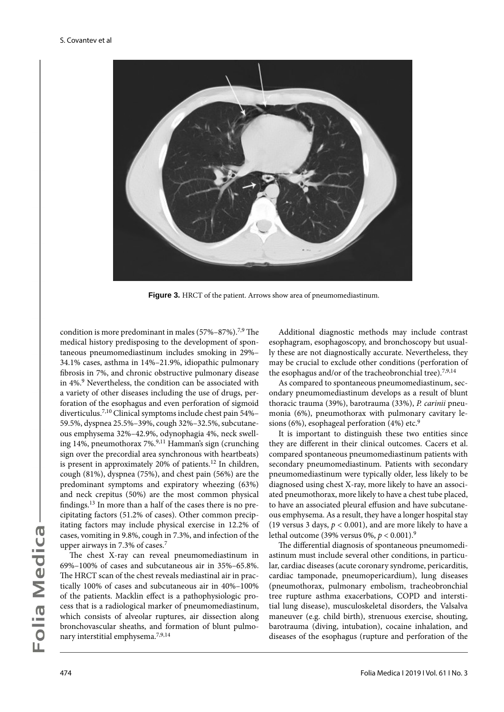

**Figure 3.** HRCT of the patient. Arrows show area of pneumomediastinum.

condition is more predominant in males (57%–87%).7,9 The medical history predisposing to the development of spontaneous pneumomediastinum includes smoking in 29%– 34.1% cases, asthma in 14%–21.9%, idiopathic pulmonary fibrosis in 7%, and chronic obstructive pulmonary disease in 4%.9 Nevertheless, the condition can be associated with a variety of other diseases including the use of drugs, perforation of the esophagus and even perforation of sigmoid diverticulus.7,10 Clinical symptoms include chest pain 54%– 59.5%, dyspnea 25.5%–39%, cough 32%–32.5%, subcutaneous emphysema 32%–42.9%, odynophagia 4%, neck swelling 14%, pneumothorax  $7\%$ ,  $^{9,11}$  Hamman's sign (crunching sign over the precordial area synchronous with heartbeats) is present in approximately 20% of patients.<sup>12</sup> In children, cough (81%), dyspnea (75%), and chest pain (56%) are the predominant symptoms and expiratory wheezing (63%) and neck crepitus (50%) are the most common physical findings.13 In more than a half of the cases there is no precipitating factors (51.2% of cases). Other common precipitating factors may include physical exercise in 12.2% of cases, vomiting in 9.8%, cough in 7.3%, and infection of the upper airways in 7.3% of cases.<sup>7</sup>

The chest X-ray can reveal pneumomediastinum in 69%–100% of cases and subcutaneous air in 35%–65.8%. The HRCT scan of the chest reveals mediastinal air in practically 100% of cases and subcutaneous air in 40%–100% of the patients. Macklin effect is a pathophysiologic process that is a radiological marker of pneumomediastinum, which consists of alveolar ruptures, air dissection along bronchovascular sheaths, and formation of blunt pulmonary interstitial emphysema.7,9,14

Additional diagnostic methods may include contrast esophagram, esophagoscopy, and bronchoscopy but usually these are not diagnostically accurate. Nevertheless, they may be crucial to exclude other conditions (perforation of the esophagus and/or of the tracheobronchial tree).<sup>7,9,14</sup>

As compared to spontaneous pneumomediastinum, secondary pneumomediastinum develops as a result of blunt thoracic trauma (39%), barotrauma (33%), *P. carinii* pneumonia (6%), pneumothorax with pulmonary cavitary lesions (6%), esophageal perforation (4%) etc.<sup>9</sup>

It is important to distinguish these two entities since they are different in their clinical outcomes. Cacers et al. compared spontaneous pneumomediastinum patients with secondary pneumomediastinum. Patients with secondary pneumomediastinum were typically older, less likely to be diagnosed using chest X-ray, more likely to have an associated pneumothorax, more likely to have a chest tube placed, to have an associated pleural effusion and have subcutaneous emphysema. As a result, they have a longer hospital stay (19 versus 3 days,  $p < 0.001$ ), and are more likely to have a lethal outcome (39% versus 0%, *p* < 0.001).<sup>9</sup>

The differential diagnosis of spontaneous pneumomediastinum must include several other conditions, in particular, cardiac diseases (acute coronary syndrome, pericarditis, cardiac tamponade, pneumopericardium), lung diseases (pneumothorax, pulmonary embolism, tracheobronchial tree rupture asthma exacerbations, COPD and interstitial lung disease), musculoskeletal disorders, the Valsalva maneuver (e.g. child birth), strenuous exercise, shouting, barotrauma (diving, intubation), cocaine inhalation, and diseases of the esophagus (rupture and perforation of the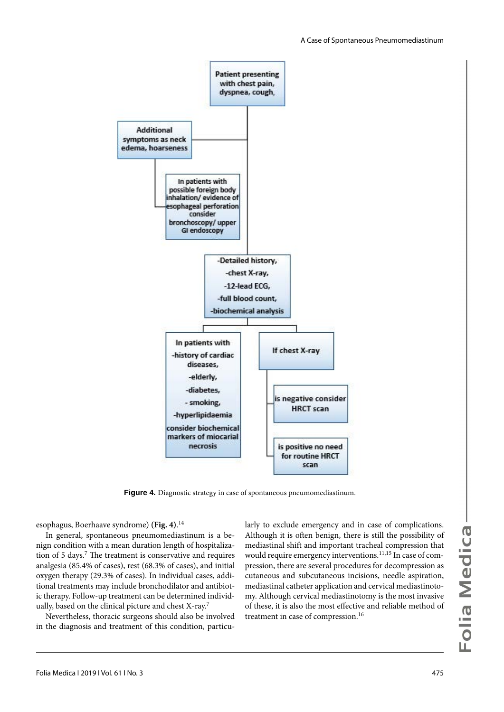

**Figure 4.** Diagnostic strategy in case of spontaneous pneumomediastinum.

esophagus, Boerhaave syndrome) **(Fig. 4)**. 14

In general, spontaneous pneumomediastinum is a benign condition with a mean duration length of hospitalization of 5 days.7 The treatment is conservative and requires analgesia (85.4% of cases), rest (68.3% of cases), and initial oxygen therapy (29.3% of cases). In individual cases, additional treatments may include bronchodilator and antibiotic therapy. Follow-up treatment can be determined individually, based on the clinical picture and chest X-ray.7

Nevertheless, thoracic surgeons should also be involved in the diagnosis and treatment of this condition, particularly to exclude emergency and in case of complications. Although it is often benign, there is still the possibility of mediastinal shift and important tracheal compression that would require emergency interventions.<sup>11,15</sup> In case of compression, there are several procedures for decompression as cutaneous and subcutaneous incisions, needle aspiration, mediastinal catheter application and cervical mediastinotomy. Although cervical mediastinotomy is the most invasive of these, it is also the most effective and reliable method of treatment in case of compression.<sup>16</sup>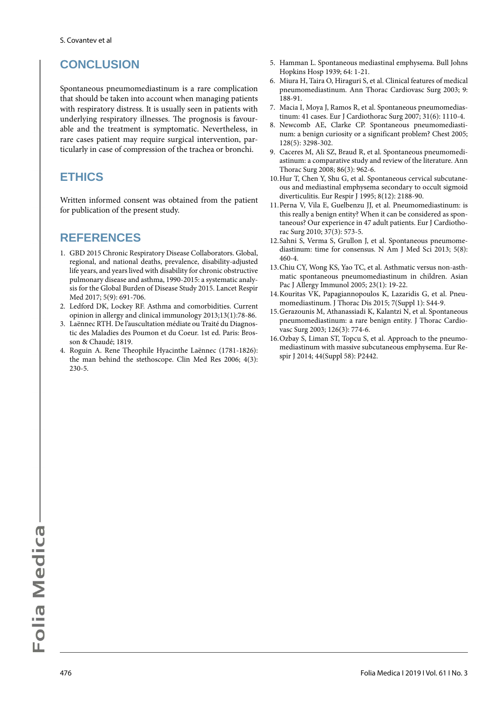# **CONCLUSION**

Spontaneous pneumomediastinum is a rare complication that should be taken into account when managing patients with respiratory distress. It is usually seen in patients with underlying respiratory illnesses. The prognosis is favourable and the treatment is symptomatic. Nevertheless, in rare cases patient may require surgical intervention, particularly in case of compression of the trachea or bronchi.

## **ETHICS**

Written informed consent was obtained from the patient for publication of the present study.

## **REFERENCES**

- 1. GBD 2015 Chronic Respiratory Disease Collaborators. Global, regional, and national deaths, prevalence, disability-adjusted life years, and years lived with disability for chronic obstructive pulmonary disease and asthma, 1990-2015: a systematic analysis for the Global Burden of Disease Study 2015. Lancet Respir Med 2017; 5(9): 691-706.
- 2. Ledford DK, Lockey RF. Asthma and comorbidities. Current opinion in allergy and clinical immunology 2013;13(1):78-86.
- 3. Laënnec RTH. De l'auscultation médiate ou Traité du Diagnostic des Maladies des Poumon et du Coeur. 1st ed. Paris: Brosson & Chaudé; 1819.
- 4. Roguin A. Rene Theophile Hyacinthe Laënnec (1781-1826): the man behind the stethoscope. Clin Med Res 2006; 4(3): 230-5.
- 5. Hamman L. Spontaneous mediastinal emphysema. Bull Johns Hopkins Hosp 1939; 64: 1-21.
- 6. Miura H, Taira O, Hiraguri S, et al. Clinical features of medical pneumomediastinum. Ann Thorac Cardiovasc Surg 2003; 9: 188-91.
- 7. Macia I, Moya J, Ramos R, et al. Spontaneous pneumomediastinum: 41 cases. Eur J Cardiothorac Surg 2007; 31(6): 1110-4.
- 8. Newcomb AE, Clarke CP. Spontaneous pneumomediastinum: a benign curiosity or a significant problem? Chest 2005; 128(5): 3298-302.
- 9. Caceres M, Ali SZ, Braud R, et al. Spontaneous pneumomediastinum: a comparative study and review of the literature. Ann Thorac Surg 2008; 86(3): 962-6.
- 10.Hur T, Chen Y, Shu G, et al. Spontaneous cervical subcutaneous and mediastinal emphysema secondary to occult sigmoid diverticulitis. Eur Respir J 1995; 8(12): 2188-90.
- 11.Perna V, Vila E, Guelbenzu JJ, et al. Pneumomediastinum: is this really a benign entity? When it can be considered as spontaneous? Our experience in 47 adult patients. Eur J Cardiothorac Surg 2010; 37(3): 573-5.
- 12.Sahni S, Verma S, Grullon J, et al. Spontaneous pneumomediastinum: time for consensus. N Am J Med Sci 2013; 5(8): 460-4.
- 13.Chiu CY, Wong KS, Yao TC, et al. Asthmatic versus non-asthmatic spontaneous pneumomediastinum in children. Asian Pac J Allergy Immunol 2005; 23(1): 19-22.
- 14.Kouritas VK, Papagiannopoulos K, Lazaridis G, et al. Pneumomediastinum. J Thorac Dis 2015; 7(Suppl 1): S44-9.
- 15.Gerazounis M, Athanassiadi K, Kalantzi N, et al. Spontaneous pneumomediastinum: a rare benign entity. J Thorac Cardiovasc Surg 2003; 126(3): 774-6.
- 16.Ozbay S, Liman ST, Topcu S, et al. Approach to the pneumomediastinum with massive subcutaneous emphysema. Eur Respir J 2014; 44(Suppl 58): P2442.